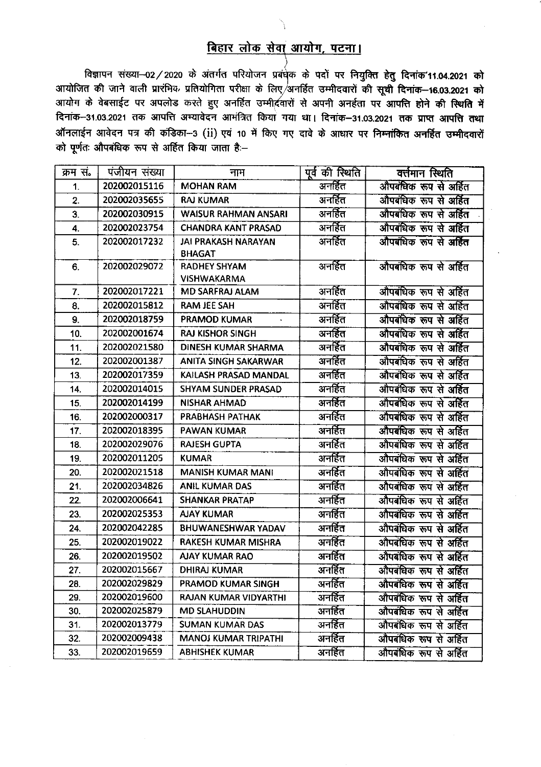## बिहार लोक सेवा आयोग, पटना।

विज्ञापन संख्या-02/2020 के अंतर्गत परियोजन प्रबंधेक के पदों पर नियुक्ति हेतु दिनांक'11.04.2021 को आयोजित की जाने वाली प्रारंभिक प्रतियोगिता परीक्षा के लिए अनर्हित उम्मीदवारों की सूची दिनांक-16.03.2021 को आयोग के वेबसाईट पर अपलोड करते हुए अनर्हित उम्मीदवारों से अपनी अनर्हता पर आपत्ति होने की स्थिति में दिनांक-31.03.2021 तक आपत्ति अभ्यावेदन आमंत्रित किया गया था। दिनांक-31.03.2021 तक प्राप्त आपत्ति तथा ऑनलाईन आवेदन पत्र की कंडिका-3 (ii) एवं 10 में किए गए दावे के आधार पर निम्नांकित अनर्हित उम्मीदवारों को पूर्णतः औपबंधिक रूप से अर्हित किया जाता है:-

| क्रम सं.       | पंजीयन संख्या | नाम                         | पूर्व की स्थिति | वर्त्तमान स्थिति      |
|----------------|---------------|-----------------------------|-----------------|-----------------------|
| $\mathbf{1}$ . | 202002015116  | <b>MOHAN RAM</b>            | अनर्हित         | औपबंधिक रूप से अहित   |
| 2.             | 202002035655  | <b>RAJ KUMAR</b>            | अनर्हित         | औपबंधिक रूप से अर्हित |
| 3.             | 202002030915  | <b>WAISUR RAHMAN ANSARI</b> | अनर्हित         | औपबंधिक रूप से अर्हित |
| 4.             | 202002023754  | <b>CHANDRA KANT PRASAD</b>  | अनहित           | औपबंधिक रूप से अर्हित |
| 5.             | 202002017232  | JAI PRAKASH NARAYAN         | अनर्हित         | औपबंधिक रूप से अर्हित |
|                |               | <b>BHAGAT</b>               |                 |                       |
| 6.             | 202002029072  | <b>RADHEY SHYAM</b>         | अनर्हित         | औपबंधिक रूप से अर्हित |
|                |               | <b>VISHWAKARMA</b>          |                 |                       |
| 7.             | 202002017221  | <b>MD SARFRAJ ALAM</b>      | अनर्हित         | औपबंधिक रूप से अर्हित |
| 8.             | 202002015812  | <b>RAM JEE SAH</b>          | अनर्हित         | औपबंधिक रूप से अर्हित |
| 9.             | 202002018759  | PRAMOD KUMAR                | अनर्हित         | औपबंधिक रूप से अर्हित |
| 10.            | 202002001674  | <b>RAJ KISHOR SINGH</b>     | अनर्हित         | औपबंधिक रूप से अहित   |
| 11.            | 202002021580  | DINESH KUMAR SHARMA         | अनर्हित         | औपबंधिक रूप से अर्हित |
| 12.            | 202002001387  | <b>ANITA SINGH SAKARWAR</b> | अनर्हित         | औपबंधिक रूप से अहित   |
| 13.            | 202002017359  | KAILASH PRASAD MANDAL       | अनर्हित         | औपबंधिक रूप से अर्हित |
| 14.            | 202002014015  | <b>SHYAM SUNDER PRASAD</b>  | अनर्हित         | औपबंधिक रूप से अहित   |
| 15.            | 202002014199  | <b>NISHAR AHMAD</b>         | अनर्हित         | औपबंधिक रूप से अहित   |
| 16.            | 202002000317  | PRABHASH PATHAK             | अनर्हित         | औपबंधिक रूप से अर्हित |
| 17.            | 202002018395  | <b>PAWAN KUMAR</b>          | अनर्हित         | औपबंधिक रूप से अर्हित |
| 18.            | 202002029076  | <b>RAJESH GUPTA</b>         | अनर्हित         | औपबंधिक रूप से अर्हित |
| 19.            | 202002011205  | <b>KUMAR</b>                | अनर्हित         | औपबंधिक रूप से अहित   |
| 20.            | 202002021518  | <b>MANISH KUMAR MANI</b>    | अनहित           | औपबंधिक रूप से अर्हित |
| 21.            | 202002034826  | <b>ANIL KUMAR DAS</b>       | अनर्हित         | औपबंधिक रूप से अर्हित |
| 22.            | 202002006641  | <b>SHANKAR PRATAP</b>       | अनहित           | औपबंधिक रूप से अहित   |
| 23.            | 202002025353  | <b>AJAY KUMAR</b>           | अनर्हित         | औपबंधिक रूप से अहित   |
| 24.            | 202002042285  | <b>BHUWANESHWAR YADAV</b>   | अनर्हित         | औपबंधिक रूप से अर्हित |
| 25.            | 202002019022  | RAKESH KUMAR MISHRA         | अनहित           | औपबंधिक रूप से अहित   |
| 26.            | 202002019502  | <b>AJAY KUMAR RAO</b>       | अनर्हित         | औपबंधिक रूप से अहित   |
| 27.            | 202002015667  | DHIRAJ KUMAR                | अनर्हित         | औपबंधिक रूप से अर्हित |
| 28.            | 202002029829  | PRAMOD KUMAR SINGH          | अनर्हित         | औपबंधिक रूप से अर्हित |
| 29.            | 202002019600  | RAJAN KUMAR VIDYARTHI       | अनर्हित         | औपबंधिक रूप से अर्हित |
| 30.            | 202002025879  | <b>MD SLAHUDDIN</b>         | अनर्हित         | औपबंधिक रूप से अर्हित |
| 31.            | 202002013779  | <b>SUMAN KUMAR DAS</b>      | अनर्हित         | औपबंधिक रूप से अर्हित |
| 32.            | 202002009438  | <b>MANOJ KUMAR TRIPATHI</b> | अनहित           | औपबंधिक रूप से अर्हित |
| 33.            | 202002019659  | <b>ABHISHEK KUMAR</b>       | अनर्हित         | औपबंधिक रूप से अर्हित |